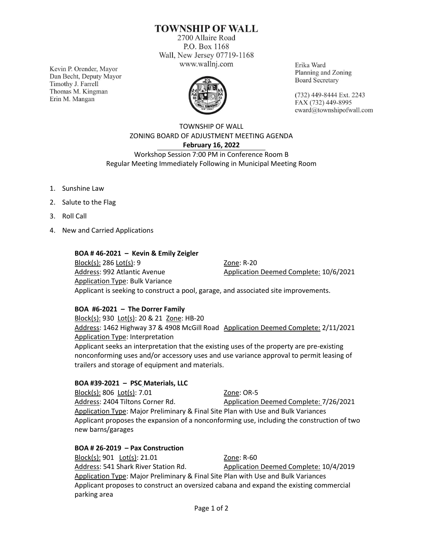# **TOWNSHIP OF WALL**

2700 Allaire Road P.O. Box 1168 Wall, New Jersey 07719-1168 www.wallnj.com

Kevin P. Orender, Mayor Dan Becht, Deputy Mayor Timothy J. Farrell Thomas M. Kingman Erin M. Mangan



Erika Ward Planning and Zoning **Board Secretary** 

(732) 449-8444 Ext. 2243 FAX (732) 449-8995 eward@townshipofwall.com

## TOWNSHIP OF WALL ZONING BOARD OF ADJUSTMENT MEETING AGENDA **February 16, 2022** Workshop Session 7:00 PM in Conference Room B

Regular Meeting Immediately Following in Municipal Meeting Room

- 1. Sunshine Law
- 2. Salute to the Flag
- 3. Roll Call
- 4. New and Carried Applications

#### **BOA # 46-2021 – Kevin & Emily Zeigler**

Block(s): 286 Lot(s): 9 Zone: R-20 Address: 992 Atlantic Avenue **Application Deemed Complete: 10/6/2021** Application Type: Bulk Variance Applicant is seeking to construct a pool, garage, and associated site improvements.

### **BOA #6-2021 – The Dorrer Family**

Block(s): 930 Lot(s): 20 & 21 Zone: HB-20 Address: 1462 Highway 37 & 4908 McGill Road Application Deemed Complete: 2/11/2021 Application Type: Interpretation

Applicant seeks an interpretation that the existing uses of the property are pre-existing nonconforming uses and/or accessory uses and use variance approval to permit leasing of trailers and storage of equipment and materials.

### **BOA #39-2021 – PSC Materials, LLC**

Block(s): 806 Lot(s): 7.01 Zone: OR-5 Address: 2404 Tiltons Corner Rd. Application Deemed Complete: 7/26/2021 Application Type: Major Preliminary & Final Site Plan with Use and Bulk Variances Applicant proposes the expansion of a nonconforming use, including the construction of two new barns/garages

### **BOA # 26-2019 – Pax Construction**

Block(s): 901 Lot(s): 21.01 Zone: R-60 Address: 541 Shark River Station Rd. Application Deemed Complete: 10/4/2019 Application Type: Major Preliminary & Final Site Plan with Use and Bulk Variances Applicant proposes to construct an oversized cabana and expand the existing commercial parking area